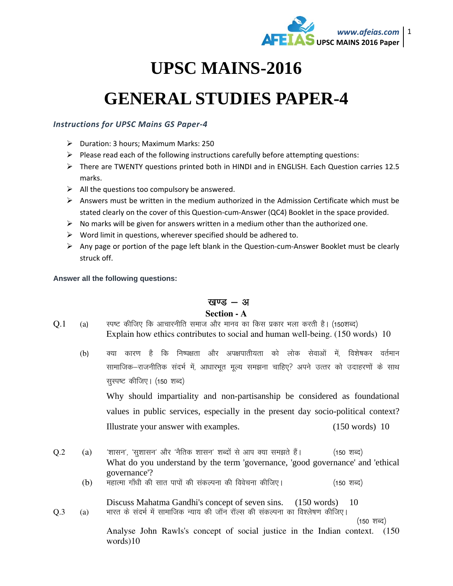

# **UPSC MAINS-2016**

# **GENERAL STUDIES PAPER-4**

## *Instructions for UPSC Mains GS Paper-4*

- Duration: 3 hours; Maximum Marks: 250
- $\triangleright$  Please read each of the following instructions carefully before attempting questions:
- There are TWENTY questions printed both in HINDI and in ENGLISH. Each Question carries 12.5 marks.
- $\triangleright$  All the questions too compulsory be answered.
- $\triangleright$  Answers must be written in the medium authorized in the Admission Certificate which must be stated clearly on the cover of this Question-cum-Answer (QC4) Booklet in the space provided.
- $\triangleright$  No marks will be given for answers written in a medium other than the authorized one.
- $\triangleright$  Word limit in questions, wherever specified should be adhered to.
- $\triangleright$  Any page or portion of the page left blank in the Question-cum-Answer Booklet must be clearly struck off.

**Answer all the following questions:** 

## खण्ड $-$  अ

#### **Section - A**

- $Q.1$  (a) स्पष्ट कीजिए कि आचारनीति समाज और मानव का किस प्रकार भला करती है। (150शब्द) Explain how ethics contributes to social and human well-being. (150 words) 10
	- (b) क्या कारण है कि निष्पक्षता और अपक्षपातीयता को लोक सेवाओं में, विशेषकर वर्तमान सामाजिक–राजनीतिक संदर्भ में, आधारभूत मूल्य समझना चाहिए? अपने उत्तर को उदाहरणों के साथ सुस्पष्ट कीजिए। (150 शब्द)

Why should impartiality and non-partisanship be considered as foundational values in public services, especially in the present day socio-political context? Illustrate your answer with examples. (150 words) 10

- $Q.2$  (a) 'शासन', 'सूशासन' और 'नैतिक शासन' शब्दों से आप क्या समझते हैं। <br/>(150 शब्द) What do you understand by the term 'governance, 'good governance' and 'ethical governance'?
	- $(b)$  महात्मा गाँधी की सात पापों की संकल्पना की विवेचना कीजिए।  $(150 \text{ erg})$

 Discuss Mahatma Gandhi's concept of seven sins. (150 words) 10  $Q.3$  (a) भारत के संदर्भ में सामाजिक न्याय की जॉन रॉल्स की संकल्पना का विश्लेषण कीजिए।

 $(150 \; \text{Y} \cdot \text{G})$ 

Analyse John Rawls's concept of social justice in the Indian context. (150 words)10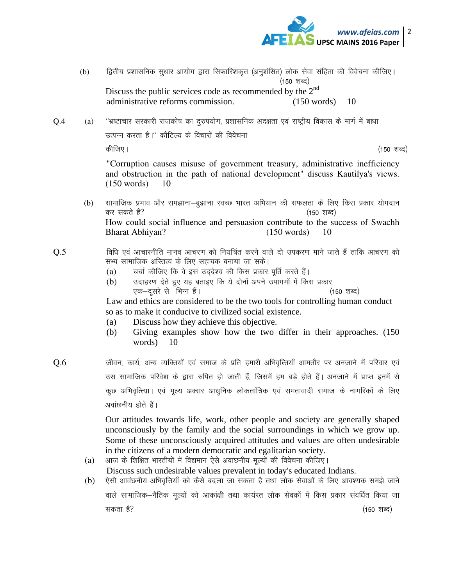

- (b) f}द्वितीय प्रशासनिक सुधार आयोग द्वारा सिफारिशकृत (अनुशंसित) लोक सेवा संहिता की विवेचना कीजिए।  $(150$  शब्द $)$ Discuss the public services code as recommended by the  $2<sup>nd</sup>$ administrative reforms commission. (150 words) 10
- Q.4 (a) "भ्रष्टाचार सरकारी राजकोष का दुरुपयोग, प्रशासनिक अदक्षता एवं राष्ट्रीय विकास के मार्ग में बाधा उत्पन्न करता है।'' कौटिल्य के विचारों की विवेचना dhft,A ¼150 'kCn½

"Corruption causes misuse of government treasury, administrative inefficiency and obstruction in the path of national development" discuss Kautilya's views. (150 words) 10

(b) सामाजिक प्रभाव और समझाना—बुझाना स्वच्छ भारत अभियान की सफलता के लिए किस प्रकार योगदान कर सकते हैं?<br>  $(150 \text{ } 8)$ How could social influence and persuasion contribute to the success of Swachh Bharat Abhiyan? (150 words) 10

#### $Q.5$  and a fot and start in the value variant and the vertex of  $\overline{q}$ . The state vies  $Q.5$ सभ्य सामाजिक अस्तित्व के लिए सहायक बनाया जा सके।

- (a) वर्चा कीजिए कि वे इस उद्देश्य की किस प्रकार पूर्ति करते हैं।
- (b) जदाहरण देते हुए यह बताइए कि ये दोनों अपने उपागमों में किस प्रकार ,d&nwljs ls fHkUu gSaA ¼150 'kCn½

Law and ethics are considered to be the two tools for controlling human conduct so as to make it conducive to civilized social existence.

- (a) Discuss how they achieve this objective.
- (b) Giving examples show how the two differ in their approaches. (150 words) 10
- $Q.6$  , and onlighthough only define the state of the state different difform on the value  $Q.6$  and the value  $q$  is value  $q$  if  $q$  is value  $q$  if  $q$  if  $q$  if  $q$  if  $q$  if  $q$  if  $q$  if  $q$  if  $q$  if  $q$  if  $q$  if उस सामाजिक परिवेश के द्वारा रुपित हो जाती हैं, जिसमें हम बड़े होते हैं। अनजाने में प्राप्त इनमें से कुछ अभिवृत्त्यिा । एवं मूल्य अक्सर आधुनिक लोकतांत्रिक एवं समतावादी समाज के नागरिकों के लिए अवांछनीय होते हैं।

Our attitudes towards life, work, other people and society are generally shaped unconsciously by the family and the social surroundings in which we grow up. Some of these unconsciously acquired attitudes and values are often undesirable in the citizens of a modern democratic and egalitarian society.

- (a) आज के शिक्षित भारतीयों में विद्यमान ऐसे अवांछनीय मूल्यों की विवेचना कीजिए। Discuss such undesirable values prevalent in today's educated Indians.
- (b) ) ऐसी आवंछनीय अभिवृत्तियाँ को कैसे बदला जा सकता है तथा लोक सेवाओं के लिए आवश्यक समझे जाने वाले सामाजिक—नैतिक मूल्यों को आकांक्षी तथा कार्यरत लोक सेवकों में किस प्रकार संवर्धित किया जा सकता है? $(150$  शब्द $)$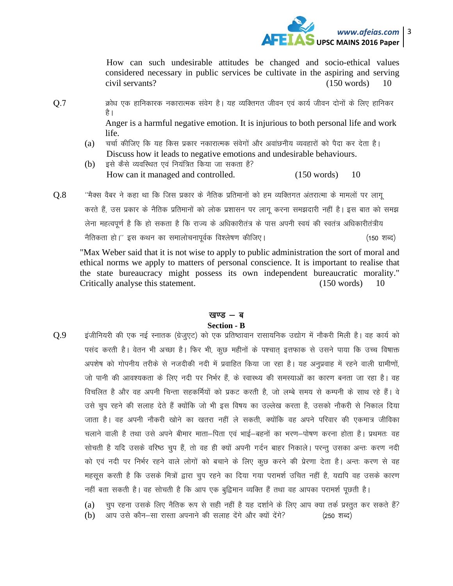

How can such undesirable attitudes be changed and socio-ethical values considered necessary in public services be cultivate in the aspiring and serving civil servants? (150 words) 10

 $0.7$   $\qquad$  क्रोध एक हानिकारक नकारात्मक संवेग है। यह व्यक्तिगत जीवन एवं कार्य जीवन दोनों के लिए हानिकर है ।

> Anger is a harmful negative emotion. It is injurious to both personal life and work life.

- (a) वर्चा कीजिए कि यह किस प्रकार नकारात्मक संवेगों और अवांछनीय व्यवहारों को पैदा कर देता है। Discuss how it leads to negative emotions and undesirable behaviours.
- $(b)$  दसे कैसे व्यवस्थित एवं नियंत्रित किया जा सकता है? How can it managed and controlled. (150 words) 10
- $Q.8$   $\qquad$   $\qquad$   $\qquad$   $\qquad$   $\qquad$   $\qquad$   $\qquad$   $\qquad$   $\qquad$   $\qquad$   $\qquad$   $\qquad$   $\qquad$   $\qquad$   $\qquad$   $\qquad$   $\qquad$   $\qquad$   $\qquad$   $\qquad$   $\qquad$   $\qquad$   $\qquad$   $\qquad$   $\qquad$   $\qquad$   $\qquad$   $\qquad$   $\qquad$   $\qquad$   $\qquad$   $\qquad$   $\qquad$   $\qquad$   $\qquad$   $\qquad$ करते हैं, उस प्रकार के नैतिक प्रतिमानों को लोक प्रशासन पर लागू करना समझदारी नहीं है। इस बात को समझ लेना महत्वपूर्ण है कि हो सकता है कि राज्य के अधिकारीतंत्र के पास अपनी स्वयं की स्वतंत्र अधिकारीतंत्रीय uSfrdrk gksA\*\* bl dFku dk lekykspukiwoZd fo'ys"k.k dhft,A ¼150 'kCn½

"Max Weber said that it is not wise to apply to public administration the sort of moral and ethical norms we apply to matters of personal conscience. It is important to realise that the state bureaucracy might possess its own independent bureaucratic morality." Critically analyse this statement. (150 words) 10

#### खण्ड $-$  ब **Section - B**

 $Q.9$  हंजीनियरी की एक नई स्नातक (ग्रेजुएट) को एक प्रतिष्ठावान रासायनिक उद्योग में नौकरी मिली है। वह कार्य को पसंद करती है। वेतन भी अच्छा है। फिर भी, कुछ महीनों के पश्चात् इत्तफाक से उसने पाया कि उच्च विषाक्त अपशेष को गोपनीय तरीके से नजदीकी नदी में प्रवाहित किया जा रहा है। यह अनुप्रवाह में रहने वाली ग्रामीणों, जो पानी की आवश्यकता के लिए नदी पर निर्भर हैं, के स्वास्थ्य की समस्याओं का कारण बनता जा रहा है। वह विचलित है और वह अपनी चिन्ता सहकर्मियों को प्रकट करती है. जो लम्बे समय से कम्पनी के साथ रहे हैं। वे उसे चुप रहने की सलाह देते हैं क्योंकि जो भी इस विषय का उल्लेख करता है, उसको नौकरी से निकाल दिया जाता है। वह अपनी नौकरी खोने का खतरा नहीं ले सकती, क्योंकि वह अपने परिवार की एकमात्र जीविका चलाने वाली है तथा उसे अपने बीमार माता—पिता एवं भाई—बहनों का भरण—पोषण करना होता है। प्रथमतः वह सोचती है यदि उसके वरिष्ठ चुप हैं, तो वह ही क्यों अपनी गर्दन बाहर निकाले। परन्तु उसका अन्तः करण नदी को एवं नदी पर निर्भर रहने वाले लोगों को बचाने के लिए कूछ करने की प्रेरणा देता है। अन्तः करण से वह महसूस करती है कि उसके मित्रों द्वारा चुप रहने का दिया गया परामर्श उचित नहीं है, यद्यपि वह उसके कारण नहीं बता सकती है। वह सोचती है कि आप एक बट्विमान व्यक्ति हैं तथा वह आपका परामर्श पृछती है।

(a) वृप रहना उसके लिए नैतिक रूप से सही नहीं है यह दर्शाने के लिए आप क्या तर्क प्रस्तुत कर सकते हैं? (b) आप उसे कौन-सा रास्ता अपनाने की सलाह देंगे और क्यों देंगे? (250 शब्द)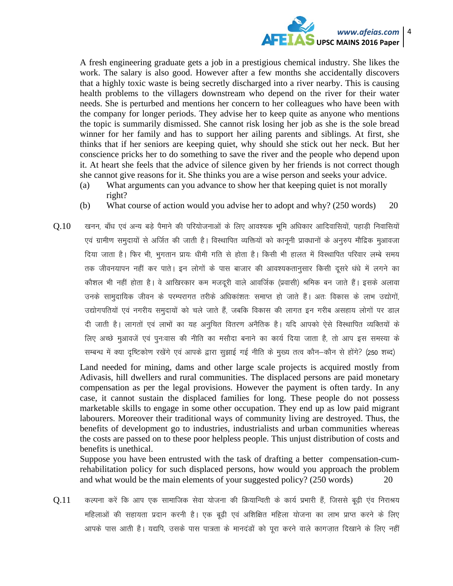

A fresh engineering graduate gets a job in a prestigious chemical industry. She likes the work. The salary is also good. However after a few months she accidentally discovers that a highly toxic waste is being secretly discharged into a river nearby. This is causing health problems to the villagers downstream who depend on the river for their water needs. She is perturbed and mentions her concern to her colleagues who have been with the company for longer periods. They advise her to keep quite as anyone who mentions the topic is summarily dismissed. She cannot risk losing her job as she is the sole bread winner for her family and has to support her ailing parents and siblings. At first, she thinks that if her seniors are keeping quiet, why should she stick out her neck. But her conscience pricks her to do something to save the river and the people who depend upon it. At heart she feels that the advice of silence given by her friends is not correct though she cannot give reasons for it. She thinks you are a wise person and seeks your advice.

- (a) What arguments can you advance to show her that keeping quiet is not morally right?
- (b) What course of action would you advise her to adopt and why? (250 words) 20
- $Q.10$  स्वनन, बाँध एवं अन्य बड़े पैमाने की परियोजनाओं के लिए आवश्यक भूमि अधिकार आदिवासियों, पहाड़ी निवासियों एवं ग्रामीण समुदायों से अर्जित की जाती है। विस्थापित व्यक्तियों को कानूनी प्रावधानों के अनुरुप मौद्रिक मुआवजा दिया जाता है। फिर भी, भुगतान प्रायः धीमी गति से होता है। किसी भी हालत में विस्थापित परिवार लम्बे समय तक जीवनयापन नहीं कर पाते। इन लोगों के पास बाजार की आवश्यकतानुसार किसी दूसरे धंधे में लगने का कौशल भी नहीं होता है। वे आखिरकार कम मजदूरी वाले आवर्जिक (प्रवासी) श्रमिक बन जाते हैं। इसके अलावा उनके सामुदायिक जीवन के परम्परागत तरीके अधिकांशतः समाप्त हो जाते हैं। अतः विकास के लाभ उद्योगों, उद्योगपतियों एवं नगरीय समुदायों को चले जाते हैं, जबकि विकास की लागत इन गरीब असहाय लोगों पर डाल दी जाती है। लागतों एवं लाभों का यह अनुचित वितरण अनैतिक है। यदि आपको ऐसे विस्थापित व्यक्तियों के लिए अच्छे मुआवजें एवं पुनःवास की नीति का मसौदा बनाने का कार्य दिया जाता है, तो आप इस समस्या के सम्बन्ध में क्या दृष्टिकोण रखेंगे एवं आपके द्वारा सुझाई गई नीति के मुख्य तत्व कौन–कौन से होंगे? (250 शब्द)

Land needed for mining, dams and other large scale projects is acquired mostly from Adivasis, hill dwellers and rural communities. The displaced persons are paid monetary compensation as per the legal provisions. However the payment is often tardy. In any case, it cannot sustain the displaced families for long. These people do not possess marketable skills to engage in some other occupation. They end up as low paid migrant labourers. Moreover their traditional ways of community living are destroyed. Thus, the benefits of development go to industries, industrialists and urban communities whereas the costs are passed on to these poor helpless people. This unjust distribution of costs and benefits is unethical.

Suppose you have been entrusted with the task of drafting a better compensation-cumrehabilitation policy for such displaced persons, how would you approach the problem and what would be the main elements of your suggested policy? (250 words) 20

 $Q.11$  कल्पना करें कि आप एक सामाजिक सेवा योजना की क्रियान्विती के कार्य प्रभारी हैं, जिससे बूढ़ी एंव निराश्रय महिलाओं की सहायता प्रदान करनी है। एक बूढ़ी एवं अशिक्षित महिला योजना का लाभ प्राप्त करने के लिए आपके पास आती है। यद्यपि, उसके पास पात्रता के मानदंडों को पूरा करने वाले कागज़ात दिखाने के लिए नहीं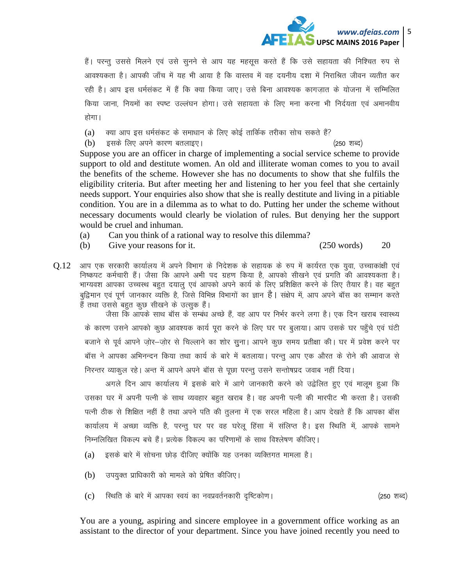

हैं। परन्तु उससे मिलने एवं उसे सुनने से आप यह महसूस करते हैं कि उसे सहायता की निश्चित रुप से आवश्यकता है। आपकी जाँच में यह भी आया है कि वास्तव में वह दयनीय दशा में निराश्रित जीवन व्यतीत कर रही है। आप इस धर्मसंकट में हैं कि क्या किया जाए। उसे बिना आवश्यक कागजात के योजना में सम्मिलित किया जाना, नियमों का स्पष्ट उल्लंघन होगा। उसे सहायता के लिए मना करना भी निर्दयता एवं अमानवीय होगा।

(a) व्या आप इस धर्मसंकट के समाधान के लिए कोई तार्किक तरीका सोच सकते हैं?

 $(b)$  द्वसके लिए अपने कारण बतलाइए ।  $(250 \text{ erg})$ 

Suppose you are an officer in charge of implementing a social service scheme to provide support to old and destitute women. An old and illiterate woman comes to you to avail the benefits of the scheme. However she has no documents to show that she fulfils the eligibility criteria. But after meeting her and listening to her you feel that she certainly needs support. Your enquiries also show that she is really destitute and living in a pitiable condition. You are in a dilemma as to what to do. Putting her under the scheme without necessary documents would clearly be violation of rules. But denying her the support would be cruel and inhuman.

- (a) Can you think of a rational way to resolve this dilemma?
- (b) Give your reasons for it. (250 words) 20
- $0.12$  आप एक सरकारी कार्यालय में अपने विभाग के निदेशक के सहायक के रूप में कार्यरत एक युवा, उच्चाकांक्षी एवं निष्कपट कर्मचारी हैं। जैसा कि आपने अभी पद ग्रहण किया है, आपको सीखने एवं प्रगति की आवश्यकता है। भाग्यवश आपका उच्चस्थ बहुत दयालु एवं आपको अपने कार्य के लिए प्रशिक्षित करने के लिए तैयार है। वह बहुत बुद्विमान एवं पूर्ण जानकार व्यक्ति है, जिसे विभिन्न विभागों का ज्ञान है | संक्षेप में, आप अपने बॉस का सम्मान करते हैं तथा उससे बहुत कुछ सीखने के उत्सुक हैं।

जैसा कि आपके साथ बॉस के सम्बंध अच्छे हैं, वह आप पर निर्भर करने लगा है। एक दिन खराब स्वास्थ्य के कारण उसने आपको कुछ आवश्यक कार्य पूरा करने के लिए घर पर बुलाया। आप उसके घर पहुँचे एवं घंटी बजाने से पूर्व आपने जोर-जोर से चिल्लाने का शोर सूना। आपने कूछ समय प्रतीक्षा की। घर में प्रवेश करने पर बॉस ने आपका अभिनन्दन किया तथा कार्य के बारे में बतलाया। परन्तु आप एक औरत के रोने की आवाज से निरन्तर व्याकुल रहे। अन्त में आपने अपने बॉस से पूछा परन्तु उसने सन्तोषप्रद जवाब नहीं दिया।

अगले दिन आप कार्यालय में इसके बारे में आगे जानकारी करने को उद्वेलित हुए एवं मालूम हुआ कि उसका घर में अपनी पत्नी के साथ व्यवहार बहुत खराब है। वह अपनी पत्नी की मारपीट भी करता है। उसकी पत्नी ठीक से शिक्षित नहीं है तथा अपने पति की तूलना में एक सरल महिला है। आप देखते हैं कि आपका बॉस कार्यालय में अच्छा व्यक्ति है, परन्तु घर पर वह घरेलू हिंसा में संलिप्त है। इस स्थिति में, आपके सामने निम्नलिखित विकल्प बचे हैं। प्रत्येक विकल्प का परिणामों के साथ विश्लेषण कीजिए।

- (a) इसके बारे में सोचना छोड़ दीजिए क्योंकि यह उनका व्यक्तिगत मामला है।
- $(b)$  उपयुक्त प्राधिकारी को मामले को प्रेषित कीजिए।
- (c) स्थिति के बारे में आपका स्वयं का नवप्रवर्तनकारी दृष्टिकोण।

You are a young, aspiring and sincere employee in a government office working as an assistant to the director of your department. Since you have joined recently you need to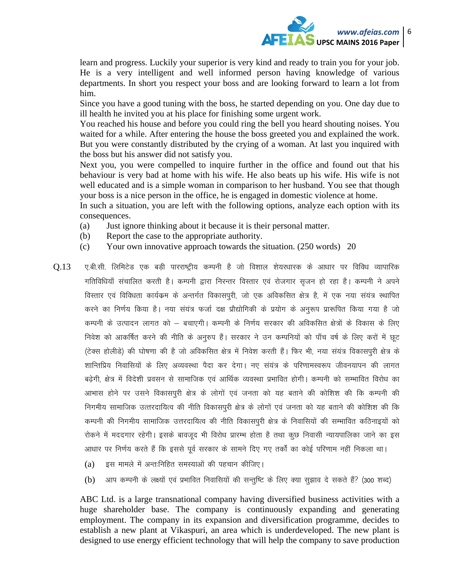

learn and progress. Luckily your superior is very kind and ready to train you for your job. He is a very intelligent and well informed person having knowledge of various departments. In short you respect your boss and are looking forward to learn a lot from him.

Since you have a good tuning with the boss, he started depending on you. One day due to ill health he invited you at his place for finishing some urgent work.

You reached his house and before you could ring the bell you heard shouting noises. You waited for a while. After entering the house the boss greeted you and explained the work. But you were constantly distributed by the crying of a woman. At last you inquired with the boss but his answer did not satisfy you.

Next you, you were compelled to inquire further in the office and found out that his behaviour is very bad at home with his wife. He also beats up his wife. His wife is not well educated and is a simple woman in comparison to her husband. You see that though your boss is a nice person in the office, he is engaged in domestic violence at home.

In such a situation, you are left with the following options, analyze each option with its consequences.

- (a) Just ignore thinking about it because it is their personal matter.
- (b) Report the case to the appropriate authority.
- (c) Your own innovative approach towards the situation. (250 words) 20
- $0.13$  , ए.बी.सी. लिमिटेड एक बड़ी पारराष्ट्रीय कम्पनी है जो विशाल शेयरधारक के आधार पर विविध व्यापारिक गतिविधियाँ संचालित करती है। कम्पनी द्वारा निरन्तर विस्तार एवं रोजगार सुजन हो रहा है। कम्पनी ने अपने विस्तार एवं विविधता कार्यक्रम के अन्तर्गत विकासपूरी, जो एक अविकसित क्षेत्र है, में एक नया संयंत्र स्थापित करने का निर्णय किया है। नया संयंत्र फर्जा दक्ष प्रौद्योगिकी के प्रयोग के अनुरूप प्रारूपित किया गया है जो कम्पनी के उत्पादन लागत को – बचाएगी। कम्पनी के निर्णय सरकार की अविकसित क्षेत्रों के विकास के लिए निवेश को आकर्षित करने की नीति के अनुरुप हैं। सरकार ने उन कम्पनियों को पाँच वर्ष के लिए करों में छूट (टेक्स होलीडे) की घोषणा की है जो अविकसित क्षेत्र में निवेश करती हैं। फिर भी, नया संयंत्र विकासपुरी क्षेत्र के शान्तिप्रिय निवासियों के लिए अव्यवस्था पैदा कर देगा। नए संयंत्र के परिणामस्वरूप जीवनयापन की लागत बढेगी, क्षेत्र में विदेशी प्रवसन से सामाजिक एवं आर्थिक व्यवस्था प्रभावित होगी। कम्पनी को सम्भावित विरोध का आभास होने पर उसने विकासपुरी क्षेत्र के लोगों एवं जनता को यह बताने की कोशिश की कि कम्पनी की निगमीय सामाजिक उत्तरदायित्व की नीति विकासपूरी क्षेत्र के लोगों एवं जनता को यह बताने की कोशिश की कि कम्पनी की निगमीय सामाजिक उत्तरदायित्व की नीति विकासपूरी क्षेत्र के निवासियों की सम्भावित कठिनाइयों को रोकने में मददगार रहेगी। इसके बावजूद भी विरोध प्रारम्भ होता है तथा कुछ निवासी न्यायपालिका जाने का इस आधार पर निर्णय करते हैं कि इससे पूर्व सरकार के सामने दिए गए तर्कों का कोई परिणाम नहीं निकला था।
	- (a) इस मामले में अन्तःनिहित समस्याओं की पहचान कीजिए।
	- (b) आप कम्पनी के लक्ष्यों एवं प्रभावित निवासियों की सन्तुष्टि के लिए क्या सुझाव दे सकते हैं? (300 शब्द)

ABC Ltd. is a large transnational company having diversified business activities with a huge shareholder base. The company is continuously expanding and generating employment. The company in its expansion and diversification programme, decides to establish a new plant at Vikaspuri, an area which is underdeveloped. The new plant is designed to use energy efficient technology that will help the company to save production